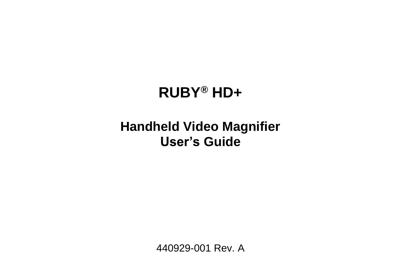# **RUBY® HD+**

# **Handheld Video Magnifier User's Guide**

440929-001 Rev. A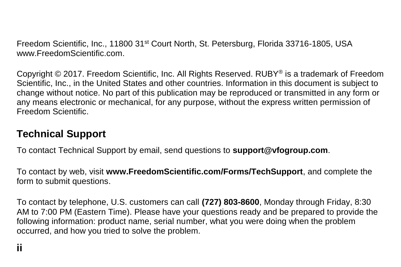Freedom Scientific, Inc., 11800 31<sup>st</sup> Court North, St. Petersburg, Florida 33716-1805, USA www.FreedomScientific.com.

Copyright © 2017. Freedom Scientific, Inc. All Rights Reserved. RUBY® is a trademark of Freedom Scientific, Inc., in the United States and other countries. Information in this document is subject to change without notice. No part of this publication may be reproduced or transmitted in any form or any means electronic or mechanical, for any purpose, without the express written permission of Freedom Scientific.

#### **Technical Support**

To contact Technical Support by email, send questions to **support@vfogroup.com**.

To contact by web, visit **www.FreedomScientific.com/Forms/TechSupport**, and complete the form to submit questions.

To contact by telephone, U.S. customers can call **(727) 803-8600**, Monday through Friday, 8:30 AM to 7:00 PM (Eastern Time). Please have your questions ready and be prepared to provide the following information: product name, serial number, what you were doing when the problem occurred, and how you tried to solve the problem.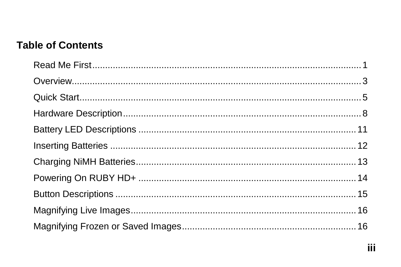#### **Table of Contents**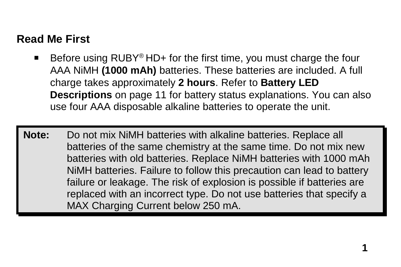# <span id="page-6-0"></span>**Read Me First**

 Before using RUBY® HD+ for the first time, you must charge the four AAA NiMH **(1000 mAh)** batteries. These batteries are included. A full charge takes approximately **2 hours**. Refer to **Battery LED Descriptions** on page [11](#page-16-0) for battery status explanations. You can also use four AAA disposable alkaline batteries to operate the unit.

**Note:** Do not mix NiMH batteries with alkaline batteries. Replace all batteries of the same chemistry at the same time. Do not mix new batteries with old batteries. Replace NiMH batteries with 1000 mAh NiMH batteries. Failure to follow this precaution can lead to battery failure or leakage. The risk of explosion is possible if batteries are replaced with an incorrect type. Do not use batteries that specify a MAX Charging Current below 250 mA.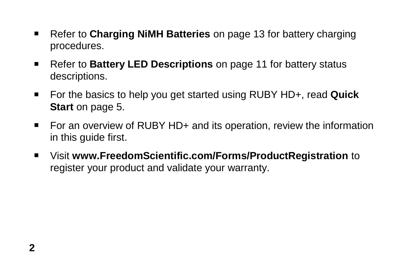- Refer to **Charging NiMH Batteries** on page [13](#page-18-0) for battery charging procedures.
- Refer to **Battery LED Descriptions** on page [11](#page-16-0) for battery status descriptions.
- For the basics to help you get started using RUBY HD+, read **Quick Start** on page [5.](#page-10-0)
- For an overview of RUBY HD+ and its operation, review the information in this guide first.
- Visit **www.FreedomScientific.com/Forms/ProductRegistration** to register your product and validate your warranty.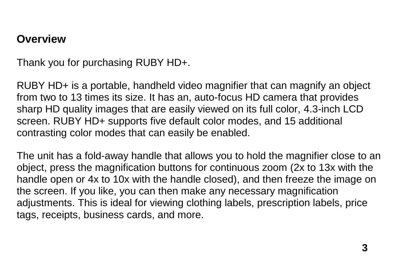#### <span id="page-8-0"></span>**Overview**

Thank you for purchasing RUBY HD+.

RUBY HD+ is a portable, handheld video magnifier that can magnify an object from two to 13 times its size. It has an, auto-focus HD camera that provides sharp HD quality images that are easily viewed on its full color, 4.3-inch LCD screen. RUBY HD+ supports five default color modes, and 15 additional contrasting color modes that can easily be enabled.

The unit has a fold-away handle that allows you to hold the magnifier close to an object, press the magnification buttons for continuous zoom (2x to 13x with the handle open or 4x to 10x with the handle closed), and then freeze the image on the screen. If you like, you can then make any necessary magnification adjustments. This is ideal for viewing clothing labels, prescription labels, price tags, receipts, business cards, and more.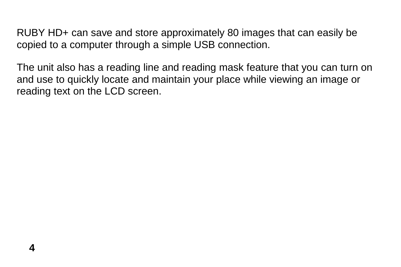RUBY HD+ can save and store approximately 80 images that can easily be copied to a computer through a simple USB connection.

The unit also has a reading line and reading mask feature that you can turn on and use to quickly locate and maintain your place while viewing an image or reading text on the LCD screen.

**4**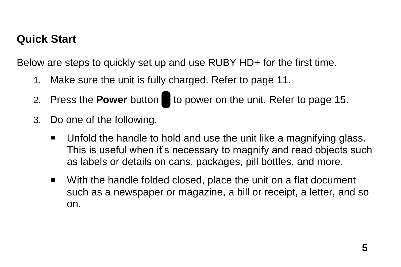## <span id="page-10-0"></span>**Quick Start**

Below are steps to quickly set up and use RUBY HD+ for the first time.

- 1. Make sure the unit is fully charged. Refer to page [11.](#page-16-0)
- 2. Press the **Power** button to power on the unit. Refer to page [15.](#page-20-0)
- 3. Do one of the following.
	- Unfold the handle to hold and use the unit like a magnifying glass. This is useful when it's necessary to magnify and read objects such as labels or details on cans, packages, pill bottles, and more.
	- With the handle folded closed, place the unit on a flat document such as a newspaper or magazine, a bill or receipt, a letter, and so on.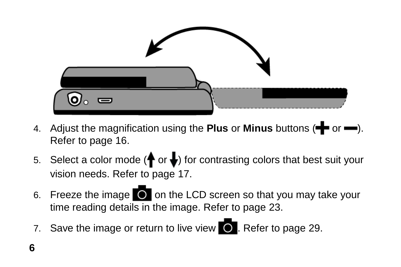

- 4. Adjust the magnification using the **Plus** or **Minus** buttons ( $\blacktriangleleft$  or  $\blacktriangleleft$ ). Refer to page [16.](#page-21-0)
- 5. Select a color mode ( $\bigoplus$  or  $\bigoplus$ ) for contrasting colors that best suit your vision needs. Refer to page [17.](#page-22-0)
- 6. Freeze the image  $\bigcirc$  on the LCD screen so that you may take your time reading details in the image. Refer to page [23.](#page-28-0)
- 7. Save the image or return to live view  $\bullet$ . Refer to page [29.](#page-34-0)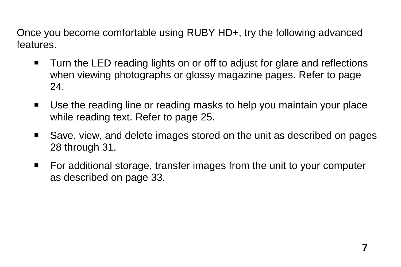Once you become comfortable using RUBY HD+, try the following advanced features.

- Turn the LED reading lights on or off to adjust for glare and reflections when viewing photographs or glossy magazine pages. Refer to page [24.](#page-29-0)
- Use the reading line or reading masks to help you maintain your place while reading text. Refer to page [25.](#page-30-0)
- Save, view, and delete images stored on the unit as described on pages [28](#page-33-0) through [31.](#page-36-0)
- For additional storage, transfer images from the unit to your computer as described on page [33.](#page-38-0)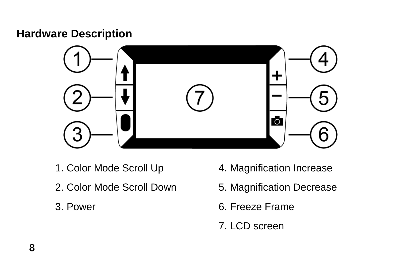#### <span id="page-13-0"></span>**Hardware Description**



- 1. Color Mode Scroll Up
- 2. Color Mode Scroll Down
- 3. Power
- 4. Magnification Increase
- 5. Magnification Decrease
- 6. Freeze Frame
- 7. LCD screen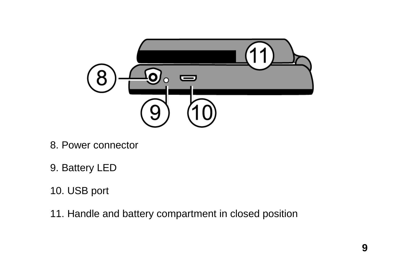

- 8. Power connector
- 9. Battery LED
- 10. USB port
- 11. Handle and battery compartment in closed position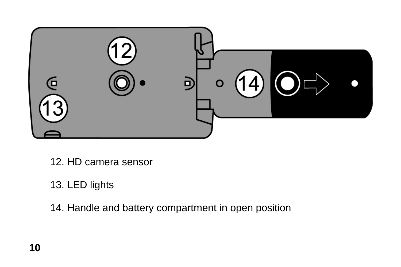

12. HD camera sensor

# 13. LED lights

14. Handle and battery compartment in open position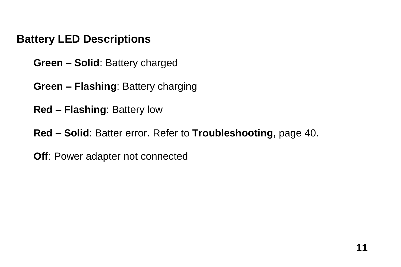# <span id="page-16-0"></span>**Battery LED Descriptions**

**Green – Solid**: Battery charged

**Green – Flashing**: Battery charging

**Red – Flashing**: Battery low

**Red – Solid**: Batter error. Refer to **Troubleshooting**, page [40.](#page-45-0)

**Off**: Power adapter not connected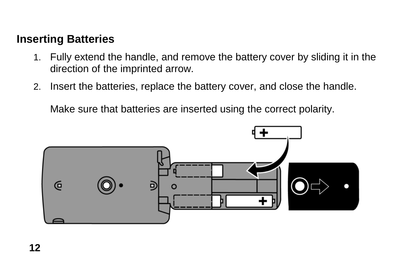### <span id="page-17-0"></span>**Inserting Batteries**

- 1. Fully extend the handle, and remove the battery cover by sliding it in the direction of the imprinted arrow.
- 2. Insert the batteries, replace the battery cover, and close the handle.

Make sure that batteries are inserted using the correct polarity.

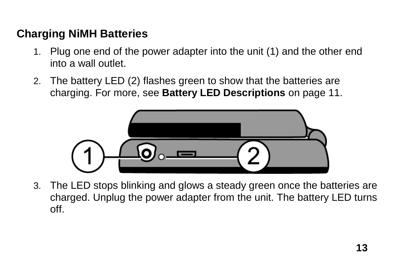# <span id="page-18-0"></span>**Charging NiMH Batteries**

- 1. Plug one end of the power adapter into the unit (1) and the other end into a wall outlet.
- 2. The battery LED (2) flashes green to show that the batteries are charging. For more, see **Battery LED Descriptions** on page [11.](#page-16-0)



3. The LED stops blinking and glows a steady green once the batteries are charged. Unplug the power adapter from the unit. The battery LED turns off.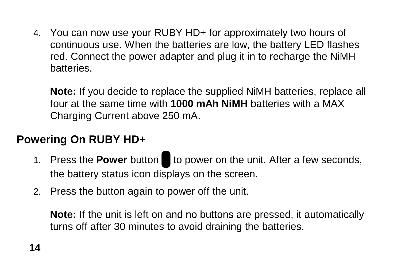4. You can now use your RUBY HD+ for approximately two hours of continuous use. When the batteries are low, the battery LED flashes red. Connect the power adapter and plug it in to recharge the NiMH batteries.

**Note:** If you decide to replace the supplied NiMH batteries, replace all four at the same time with **1000 mAh NiMH** batteries with a MAX Charging Current above 250 mA.

# <span id="page-19-0"></span>**Powering On RUBY HD+**

- 1. Press the **Power** button to power on the unit. After a few seconds, the battery status icon displays on the screen.
- 2. Press the button again to power off the unit.

**Note:** If the unit is left on and no buttons are pressed, it automatically turns off after 30 minutes to avoid draining the batteries.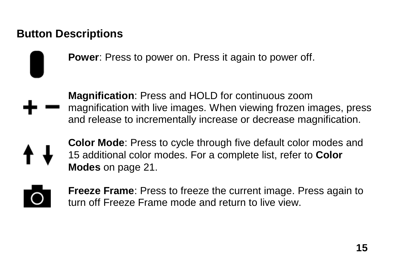# <span id="page-20-0"></span>**Button Descriptions**

**Power**: Press to power on. Press it again to power off.

**Magnification**: Press and HOLD for continuous zoom magnification with live images. When viewing frozen images, press and release to incrementally increase or decrease magnification.

- **Color Mode**: Press to cycle through five default color modes and 15 additional color modes. For a complete list, refer to **Color Modes** on page [21.](#page-26-1)
- **Freeze Frame**: Press to freeze the current image. Press again to turn off Freeze Frame mode and return to live view.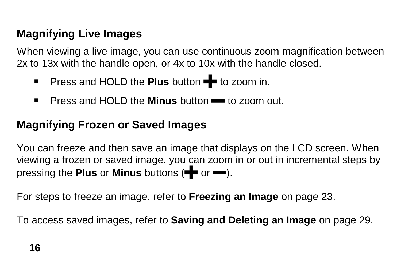# <span id="page-21-0"></span>**Magnifying Live Images**

When viewing a live image, you can use continuous zoom magnification between 2x to 13x with the handle open, or 4x to 10x with the handle closed.

- **Press and HOLD the Plus button**  $\blacktriangleright$  **to zoom in.**
- **Press and HOLD the Minus button to zoom out.**

# <span id="page-21-1"></span>**Magnifying Frozen or Saved Images**

You can freeze and then save an image that displays on the LCD screen. When viewing a frozen or saved image, you can zoom in or out in incremental steps by pressing the **Plus** or **Minus** buttons ( $\blacktriangleright$  or  $\blacktriangleright$ ).

For steps to freeze an image, refer to **Freezing an Image** on page [23.](#page-28-0)

To access saved images, refer to **Saving and Deleting an Image** on page [29.](#page-34-0)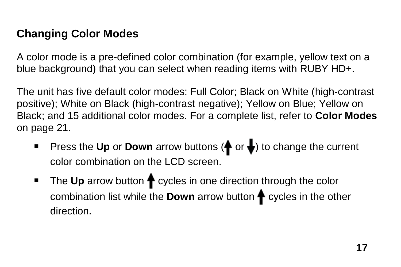# <span id="page-22-0"></span>**Changing Color Modes**

A color mode is a pre-defined color combination (for example, yellow text on a blue background) that you can select when reading items with RUBY HD+.

The unit has five default color modes: Full Color; Black on White (high-contrast positive); White on Black (high-contrast negative); Yellow on Blue; Yellow on Black; and 15 additional color modes. For a complete list, refer to **Color Modes**  on page [21.](#page-26-1)

- **Press the Up or Down** arrow buttons ( $\bigoplus$  or  $\bigoplus$ ) to change the current color combination on the LCD screen.
- The Up arrow button ← cycles in one direction through the color combination list while the **Down** arrow button  $\biguparrow$  cycles in the other direction.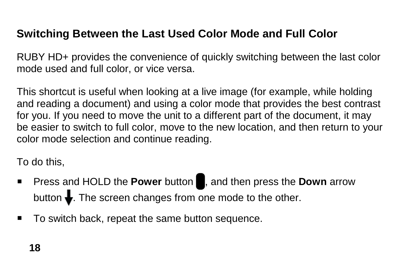### <span id="page-23-0"></span>**Switching Between the Last Used Color Mode and Full Color**

RUBY HD+ provides the convenience of quickly switching between the last color mode used and full color, or vice versa.

This shortcut is useful when looking at a live image (for example, while holding and reading a document) and using a color mode that provides the best contrast for you. If you need to move the unit to a different part of the document, it may be easier to switch to full color, move to the new location, and then return to your color mode selection and continue reading.

To do this,

- **Press and HOLD the Power button , and then press the Down arrow** button  $\bigdownarrow$ . The screen changes from one mode to the other.
- To switch back, repeat the same button sequence.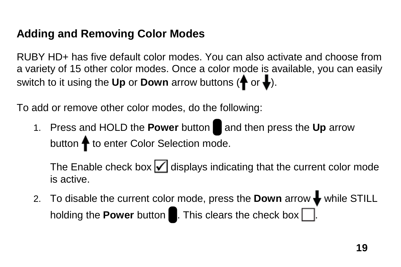## <span id="page-24-0"></span>**Adding and Removing Color Modes**

RUBY HD+ has five default color modes. You can also activate and choose from a variety of 15 other color modes. Once a color mode is available, you can easily switch to it using the Up or Down arrow buttons  $(\biguparrow \circ \cdot \bigdownarrow)$ .

To add or remove other color modes, do the following:

1. Press and HOLD the **Power** button and then press the Up arrow button  $\spadesuit$  to enter Color Selection mode.

The Enable check box  $\sqrt{\sqrt{ }}$  displays indicating that the current color mode is active.

2. To disable the current color mode, press the **Down** arrow  $\blacklozenge$  while STILL holding the **Power** button  $\blacksquare$ . This clears the check box  $\blacksquare$ .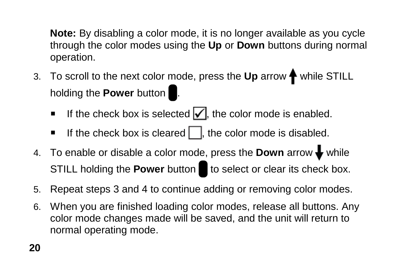**Note:** By disabling a color mode, it is no longer available as you cycle through the color modes using the **Up** or **Down** buttons during normal operation.

- 3. To scroll to the next color mode, press the Up arrow  $\bigoplus$  while STILL holding the **Power** button .
	- If the check box is selected  $\sqrt{\phantom{a}}$ , the color mode is enabled.
	- If the check box is cleared  $\Box$ , the color mode is disabled.
- 4. To enable or disable a color mode, press the **Down** arrow  $\bigtriangledown$  while STILL holding the **Power** button to select or clear its check box.
- 5. Repeat steps 3 and 4 to continue adding or removing color modes.
- 6. When you are finished loading color modes, release all buttons. Any color mode changes made will be saved, and the unit will return to normal operating mode.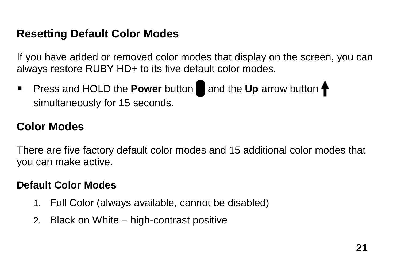### <span id="page-26-0"></span>**Resetting Default Color Modes**

If you have added or removed color modes that display on the screen, you can always restore RUBY HD+ to its five default color modes.

**Press and HOLD the Power button and the Up arrow button**  $\uparrow$ simultaneously for 15 seconds.

### <span id="page-26-1"></span>**Color Modes**

There are five factory default color modes and 15 additional color modes that you can make active.

#### <span id="page-26-2"></span>**Default Color Modes**

- 1. Full Color (always available, cannot be disabled)
- 2. Black on White high-contrast positive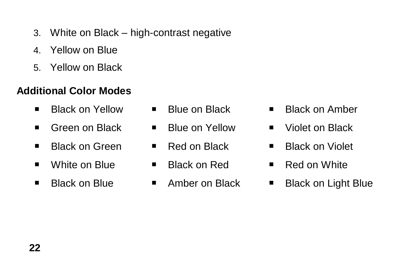- 3. White on Black high-contrast negative
- 4. Yellow on Blue
- 5. Yellow on Black

#### <span id="page-27-0"></span>**Additional Color Modes**

- Black on Yellow  $\blacksquare$  Blue on Black  $\blacksquare$  Black on Amber
- Green on Black  $\blacksquare$  Blue on Yellow  $\blacksquare$  Violet on Black
- Black on Green 
Red on Black 
Black on Violet
- White on Blue Black on Red Red on White
- 
- 
- 
- 
- 
- 
- 
- 
- 
- 
- Black on Blue Amber on Black Black on Light Blue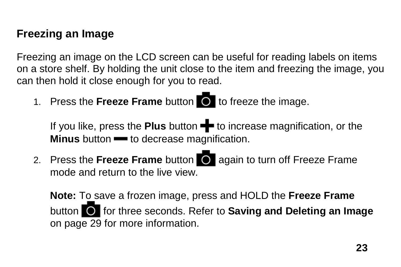### <span id="page-28-0"></span>**Freezing an Image**

Freezing an image on the LCD screen can be useful for reading labels on items on a store shelf. By holding the unit close to the item and freezing the image, you can then hold it close enough for you to read.

1. Press the **Freeze Frame** button **the** to freeze the image.

If you like, press the **Plus** button **+** to increase magnification, or the **Minus** button **-** to decrease magnification.

2. Press the **Freeze Frame** button **Q** again to turn off Freeze Frame mode and return to the live view.

**Note:** To save a frozen image, press and HOLD the **Freeze Frame** button for three seconds. Refer to **Saving and Deleting an Image** on page [29](#page-34-0) for more information.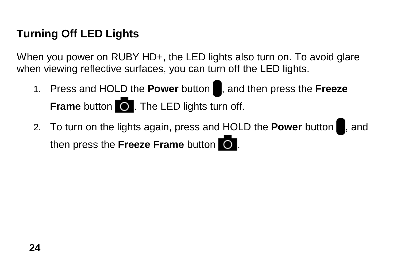# <span id="page-29-0"></span>**Turning Off LED Lights**

When you power on RUBY HD+, the LED lights also turn on. To avoid glare when viewing reflective surfaces, you can turn off the LED lights.

- 1. Press and HOLD the **Power** button , and then press the **Freeze Frame** button **O**. The LED lights turn off.
- 2. To turn on the lights again, press and HOLD the **Power** button , and then press the **Freeze Frame** button  $\overline{O}$ .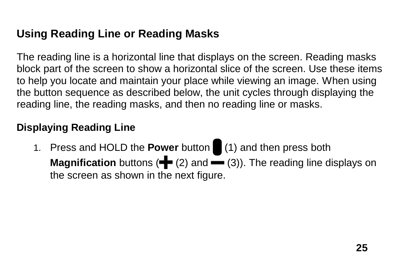# <span id="page-30-0"></span>**Using Reading Line or Reading Masks**

The reading line is a horizontal line that displays on the screen. Reading masks block part of the screen to show a horizontal slice of the screen. Use these items to help you locate and maintain your place while viewing an image. When using the button sequence as described below, the unit cycles through displaying the reading line, the reading masks, and then no reading line or masks.

#### <span id="page-30-1"></span>**Displaying Reading Line**

1. Press and HOLD the **Power** button (1) and then press both **Magnification** buttons  $\left( \blacklozenge \right)$  and  $\left( \binom{3}{2} \right)$ . The reading line displays on the screen as shown in the next figure.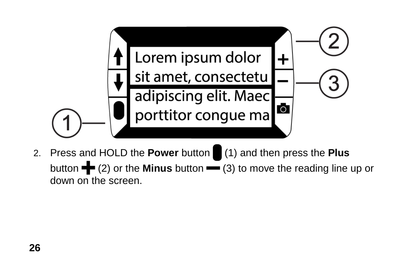

2. Press and HOLD the **Power** button (1) and then press the **Plus** button  $\blacktriangle$  (2) or the **Minus** button  $\blacktriangleright$  (3) to move the reading line up or down on the screen.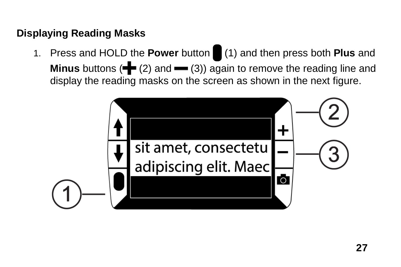#### <span id="page-32-0"></span>**Displaying Reading Masks**

1. Press and HOLD the **Power** button (1) and then press both **Plus** and **Minus** buttons ( $\blacktriangleleft$  (2) and  $\blacktriangleleft$  (3)) again to remove the reading line and display the reading masks on the screen as shown in the next figure.

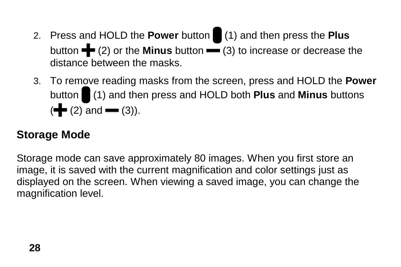- 2. Press and HOLD the **Power** button (1) and then press the **Plus** button **+** (2) or the **Minus** button • (3) to increase or decrease the distance between the masks.
- 3. To remove reading masks from the screen, press and HOLD the **Power**  button (1) and then press and HOLD both **Plus** and **Minus** buttons  $(\frac{1}{\sqrt{2}}(2)$  and  $\frac{1}{\sqrt{2}}(3)$ ).

# <span id="page-33-0"></span>**Storage Mode**

Storage mode can save approximately 80 images. When you first store an image, it is saved with the current magnification and color settings just as displayed on the screen. When viewing a saved image, you can change the magnification level.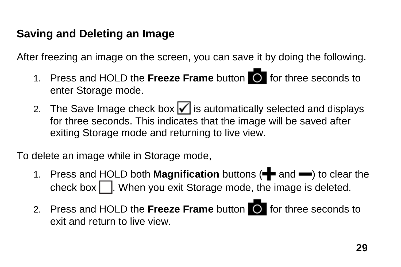# <span id="page-34-0"></span>**Saving and Deleting an Image**

After freezing an image on the screen, you can save it by doing the following.

- 1. Press and HOLD the **Freeze Frame** button for three seconds to enter Storage mode.
- 2. The Save Image check box  $\sqrt{\ }$  is automatically selected and displays for three seconds. This indicates that the image will be saved after exiting Storage mode and returning to live view.

To delete an image while in Storage mode,

- 1. Press and HOLD both **Magnification** buttons ( $\blacksquare$  and  $\blacksquare$ ) to clear the check box  $\Box$ . When you exit Storage mode, the image is deleted.
- 2. Press and HOLD the **Freeze Frame** button **O** for three seconds to exit and return to live view.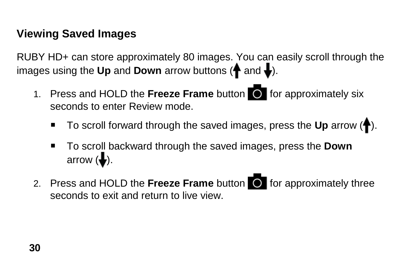# <span id="page-35-0"></span>**Viewing Saved Images**

RUBY HD+ can store approximately 80 images. You can easily scroll through the images using the Up and Down arrow buttons ( $\biguparrow$  and  $\bigdownarrow$ ).

- 1. Press and HOLD the **Freeze Frame** button for approximately six seconds to enter Review mode.
	- To scroll forward through the saved images, press the Up arrow ( $\blacklozenge$ ).
	- To scroll backward through the saved images, press the **Down** arrow  $(\bigdownarrow).$
- 2. Press and HOLD the **Freeze Frame** button **O** for approximately three seconds to exit and return to live view.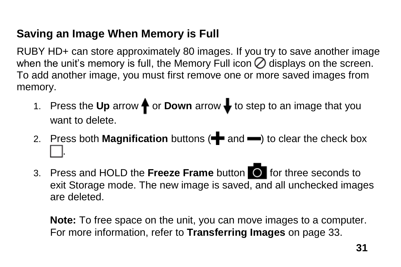# <span id="page-36-0"></span>**Saving an Image When Memory is Full**

RUBY HD+ can store approximately 80 images. If you try to save another image when the unit's memory is full, the Memory Full icon  $\oslash$  displays on the screen. To add another image, you must first remove one or more saved images from memory.

- 1. Press the Up arrow  $\biguparrow$  or **Down** arrow  $\bigdownarrow$  to step to an image that you want to delete.
- 2. Press both **Magnification** buttons ( $\blacktriangleleft$  and  $\blacktriangleleft$ ) to clear the check box .
- 3. Press and HOLD the **Freeze Frame** button **O** for three seconds to exit Storage mode. The new image is saved, and all unchecked images are deleted.

**Note:** To free space on the unit, you can move images to a computer. For more information, refer to **Transferring Images** on page [33.](#page-38-0)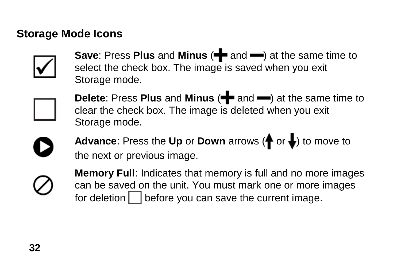### <span id="page-37-0"></span>**Storage Mode Icons**



**Save: Press Plus and Minus (** $\blacktriangleright$  **and**  $\blacktriangleright$ **) at the same time to** select the check box. The image is saved when you exit Storage mode.



**Delete:** Press Plus and Minus ( $\blacktriangleright$  and  $\blacktriangleright$ ) at the same time to clear the check box. The image is deleted when you exit Storage mode.

**Advance:** Press the Up or Down arrows  $(\bigoplus_{i=1}^n a_i)$  to move to the next or previous image.



**Memory Full**: Indicates that memory is full and no more images can be saved on the unit. You must mark one or more images for deletion  $\Box$  before you can save the current image.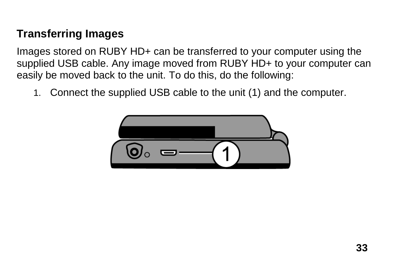# <span id="page-38-0"></span>**Transferring Images**

Images stored on RUBY HD+ can be transferred to your computer using the supplied USB cable. Any image moved from RUBY HD+ to your computer can easily be moved back to the unit. To do this, do the following:

1. Connect the supplied USB cable to the unit (1) and the computer.

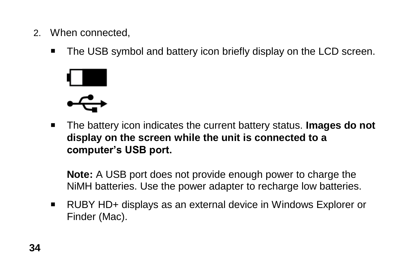- 2. When connected,
	- The USB symbol and battery icon briefly display on the LCD screen.



 The battery icon indicates the current battery status. **Images do not display on the screen while the unit is connected to a computer's USB port.**

**Note:** A USB port does not provide enough power to charge the NiMH batteries. Use the power adapter to recharge low batteries.

■ RUBY HD+ displays as an external device in Windows Explorer or Finder (Mac).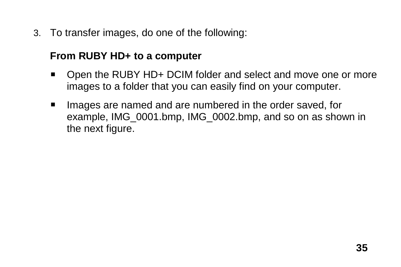3. To transfer images, do one of the following:

#### **From RUBY HD+ to a computer**

- Open the RUBY HD+ DCIM folder and select and move one or more images to a folder that you can easily find on your computer.
- **IMAGE 18** Images are named and are numbered in the order saved, for example, IMG\_0001.bmp, IMG\_0002.bmp, and so on as shown in the next figure.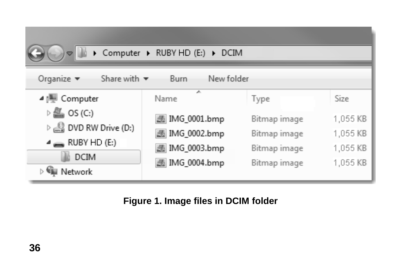|                                                                                                                                   | ▶ Computer ▶ RUBY HD (E:) ▶ DCIM |              |          |  |  |
|-----------------------------------------------------------------------------------------------------------------------------------|----------------------------------|--------------|----------|--|--|
| Share with $\blacktriangledown$<br>Organize $\blacktriangledown$<br>New folder<br>Burn                                            |                                  |              |          |  |  |
| ⊿   U Computer                                                                                                                    | A.<br>Name                       | Type         | Size     |  |  |
| $\triangleright \mathbf{m}$ os (c.)                                                                                               | 图 IMG_0001.bmp                   | Bitmap image | 1,055 KB |  |  |
| $\triangleright$ $\stackrel{\triangle}{\longrightarrow}$ DVD RW Drive (D:)<br>$\triangleq$ RUBY HD (E:)<br><b>DCIM</b><br>Network | 图 IMG_0002.bmp                   | Bitmap image | 1,055 KB |  |  |
|                                                                                                                                   | 图 IMG_0003.bmp                   | Bitmap image | 1,055 KB |  |  |
|                                                                                                                                   | 图 IMG_0004.bmp                   | Bitmap image | 1,055 KB |  |  |

#### **Figure 1. Image files in DCIM folder**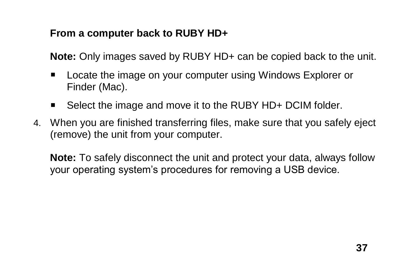#### **From a computer back to RUBY HD+**

**Note:** Only images saved by RUBY HD+ can be copied back to the unit.

- **Locate the image on your computer using Windows Explorer or** Finder (Mac).
- Select the image and move it to the RUBY HD+ DCIM folder.
- 4. When you are finished transferring files, make sure that you safely eject (remove) the unit from your computer.

**Note:** To safely disconnect the unit and protect your data, always follow your operating system's procedures for removing a USB device.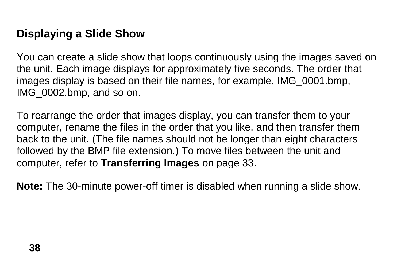### <span id="page-43-0"></span>**Displaying a Slide Show**

You can create a slide show that loops continuously using the images saved on the unit. Each image displays for approximately five seconds. The order that images display is based on their file names, for example, IMG\_0001.bmp, IMG\_0002.bmp, and so on.

To rearrange the order that images display, you can transfer them to your computer, rename the files in the order that you like, and then transfer them back to the unit. (The file names should not be longer than eight characters followed by the BMP file extension.) To move files between the unit and computer, refer to **Transferring Images** on page [33.](#page-38-0)

**Note:** The 30-minute power-off timer is disabled when running a slide show.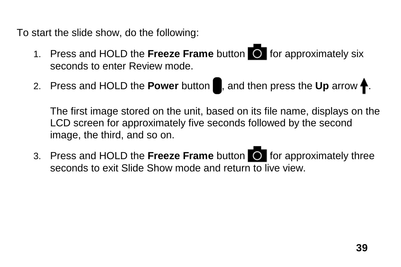To start the slide show, do the following:

- 1. Press and HOLD the **Freeze Frame** button **O** for approximately six seconds to enter Review mode.
- 2. Press and HOLD the **Power** button , and then press the Up arrow **f**.

The first image stored on the unit, based on its file name, displays on the LCD screen for approximately five seconds followed by the second image, the third, and so on.

3. Press and HOLD the **Freeze Frame** button **O** for approximately three seconds to exit Slide Show mode and return to live view.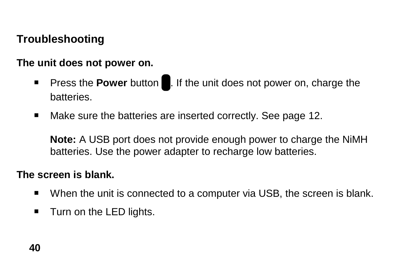# <span id="page-45-0"></span>**Troubleshooting**

#### **The unit does not power on.**

- **Press the Power button . If the unit does not power on, charge the** batteries.
- Make sure the batteries are inserted correctly. See page [12.](#page-17-0)

**Note:** A USB port does not provide enough power to charge the NiMH batteries. Use the power adapter to recharge low batteries.

#### **The screen is blank.**

- When the unit is connected to a computer via USB, the screen is blank.
- $\blacksquare$  Turn on the LED lights.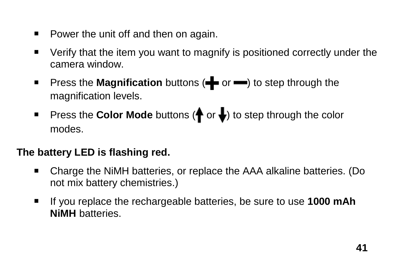- **Power the unit off and then on again.**
- Verify that the item you want to magnify is positioned correctly under the camera window.
- **Press the Magnification** buttons ( $\blacksquare$  or  $\blacksquare$ ) to step through the magnification levels.
- **Press the Color Mode** buttons ( $\bigoplus$  or  $\bigoplus$ ) to step through the color modes.

#### **The battery LED is flashing red.**

- Charge the NiMH batteries, or replace the AAA alkaline batteries. (Do not mix battery chemistries.)
- If you replace the rechargeable batteries, be sure to use **1000 mAh NiMH** batteries.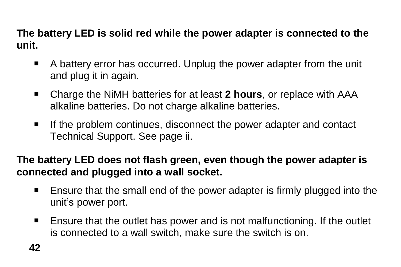**The battery LED is solid red while the power adapter is connected to the unit.**

- A battery error has occurred. Unplug the power adapter from the unit and plug it in again.
- Charge the NiMH batteries for at least **2 hours**, or replace with AAA alkaline batteries. Do not charge alkaline batteries.
- If the problem continues, disconnect the power adapter and contact Technical Support. See page ii.

**The battery LED does not flash green, even though the power adapter is connected and plugged into a wall socket.**

- Ensure that the small end of the power adapter is firmly plugged into the unit's power port.
- Ensure that the outlet has power and is not malfunctioning. If the outlet is connected to a wall switch, make sure the switch is on.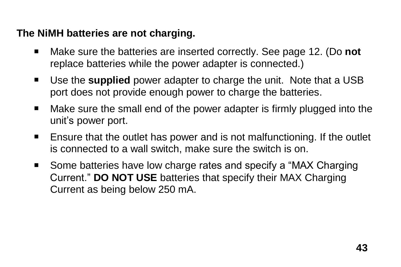#### **The NiMH batteries are not charging.**

- Make sure the batteries are inserted correctly. See page [12.](#page-17-0) (Do **not** replace batteries while the power adapter is connected.)
- Use the **supplied** power adapter to charge the unit. Note that a USB port does not provide enough power to charge the batteries.
- Make sure the small end of the power adapter is firmly plugged into the unit's power port.
- Ensure that the outlet has power and is not malfunctioning. If the outlet is connected to a wall switch, make sure the switch is on.
- Some batteries have low charge rates and specify a "MAX Charging" Current." **DO NOT USE** batteries that specify their MAX Charging Current as being below 250 mA.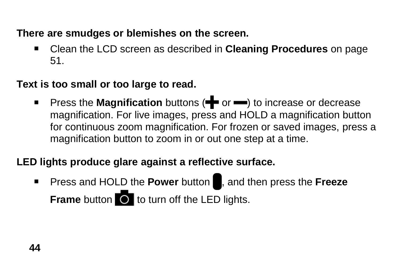**There are smudges or blemishes on the screen.**

 Clean the LCD screen as described in **Cleaning Procedures** on page [51.](#page-56-0)

**Text is too small or too large to read.**

**Press the Magnification** buttons ( $\blacktriangleleft$  or  $\blacktriangleright$ ) to increase or decrease magnification. For live images, press and HOLD a magnification button for continuous zoom magnification. For frozen or saved images, press a magnification button to zoom in or out one step at a time.

#### **LED lights produce glare against a reflective surface.**

**Press and HOLD the Power button , and then press the Freeze Frame** button **to** to turn off the LED lights.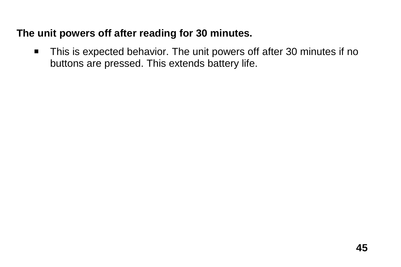#### **The unit powers off after reading for 30 minutes.**

■ This is expected behavior. The unit powers off after 30 minutes if no buttons are pressed. This extends battery life.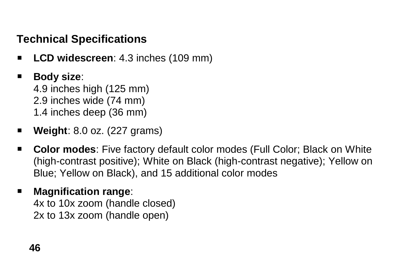# <span id="page-51-0"></span>**Technical Specifications**

- **LCD widescreen**: 4.3 inches (109 mm)
- **Body size**:

4.9 inches high (125 mm) 2.9 inches wide (74 mm) 1.4 inches deep (36 mm)

- **Weight**: 8.0 oz. (227 grams)
- **Color modes**: Five factory default color modes (Full Color; Black on White (high-contrast positive); White on Black (high-contrast negative); Yellow on Blue; Yellow on Black), and 15 additional color modes

# **Magnification range**:

4x to 10x zoom (handle closed) 2x to 13x zoom (handle open)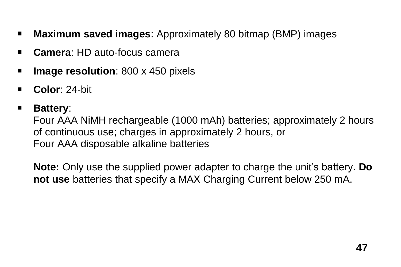- **Maximum saved images**: Approximately 80 bitmap (BMP) images
- **Camera**: HD auto-focus camera
- **Image resolution:** 800 x 450 pixels
- **Color**: 24-bit

#### **Battery**:

Four AAA NiMH rechargeable (1000 mAh) batteries; approximately 2 hours of continuous use; charges in approximately 2 hours, or Four AAA disposable alkaline batteries

**Note:** Only use the supplied power adapter to charge the unit's battery. **Do not use** batteries that specify a MAX Charging Current below 250 mA.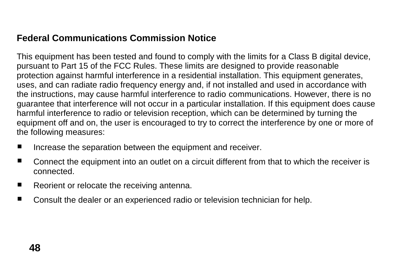#### **Federal Communications Commission Notice**

This equipment has been tested and found to comply with the limits for a Class B digital device, pursuant to Part 15 of the FCC Rules. These limits are designed to provide reasonable protection against harmful interference in a residential installation. This equipment generates, uses, and can radiate radio frequency energy and, if not installed and used in accordance with the instructions, may cause harmful interference to radio communications. However, there is no guarantee that interference will not occur in a particular installation. If this equipment does cause harmful interference to radio or television reception, which can be determined by turning the equipment off and on, the user is encouraged to try to correct the interference by one or more of the following measures:

- **IF** Increase the separation between the equipment and receiver.
- **Connect the equipment into an outlet on a circuit different from that to which the receiver is** connected.
- Reorient or relocate the receiving antenna.
- Consult the dealer or an experienced radio or television technician for help.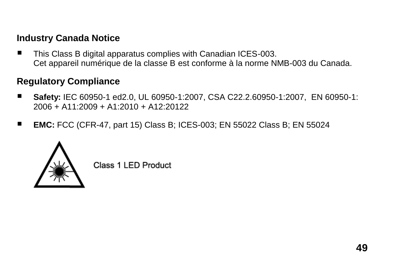#### **Industry Canada Notice**

■ This Class B digital apparatus complies with Canadian ICES-003. Cet appareil numérique de la classe B est conforme à la norme NMB-003 du Canada.

#### **Regulatory Compliance**

- Safety: IEC 60950-1 ed2.0, UL 60950-1:2007, CSA C22.2.60950-1:2007, EN 60950-1: 2006 + A11:2009 + A1:2010 + A12:20122
- **EMC:** FCC (CFR-47, part 15) Class B; ICES-003; EN 55022 Class B; EN 55024



Class 1 LED Product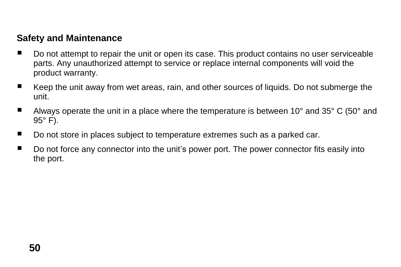#### **Safety and Maintenance**

- Do not attempt to repair the unit or open its case. This product contains no user serviceable parts. Any unauthorized attempt to service or replace internal components will void the product warranty.
- Keep the unit away from wet areas, rain, and other sources of liquids. Do not submerge the unit.
- **M** Always operate the unit in a place where the temperature is between 10 $^{\circ}$  and 35 $^{\circ}$  C (50 $^{\circ}$  and  $95^\circ$  F).
- Do not store in places subject to temperature extremes such as a parked car.
- Do not force any connector into the unit's power port. The power connector fits easily into the port.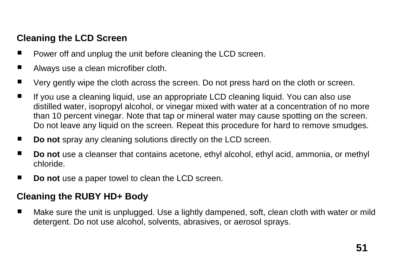#### <span id="page-56-0"></span>**Cleaning the LCD Screen**

- Power off and unplug the unit before cleaning the LCD screen.
- Always use a clean microfiber cloth.
- Very gently wipe the cloth across the screen. Do not press hard on the cloth or screen.
- If you use a cleaning liquid, use an appropriate LCD cleaning liquid. You can also use distilled water, isopropyl alcohol, or vinegar mixed with water at a concentration of no more than 10 percent vinegar. Note that tap or mineral water may cause spotting on the screen. Do not leave any liquid on the screen. Repeat this procedure for hard to remove smudges.
- **Do not** spray any cleaning solutions directly on the LCD screen.
- **Do not** use a cleanser that contains acetone, ethyl alcohol, ethyl acid, ammonia, or methyl chloride.
- **Do not** use a paper towel to clean the LCD screen.

#### **Cleaning the RUBY HD+ Body**

■ Make sure the unit is unplugged. Use a lightly dampened, soft, clean cloth with water or mild detergent. Do not use alcohol, solvents, abrasives, or aerosol sprays.